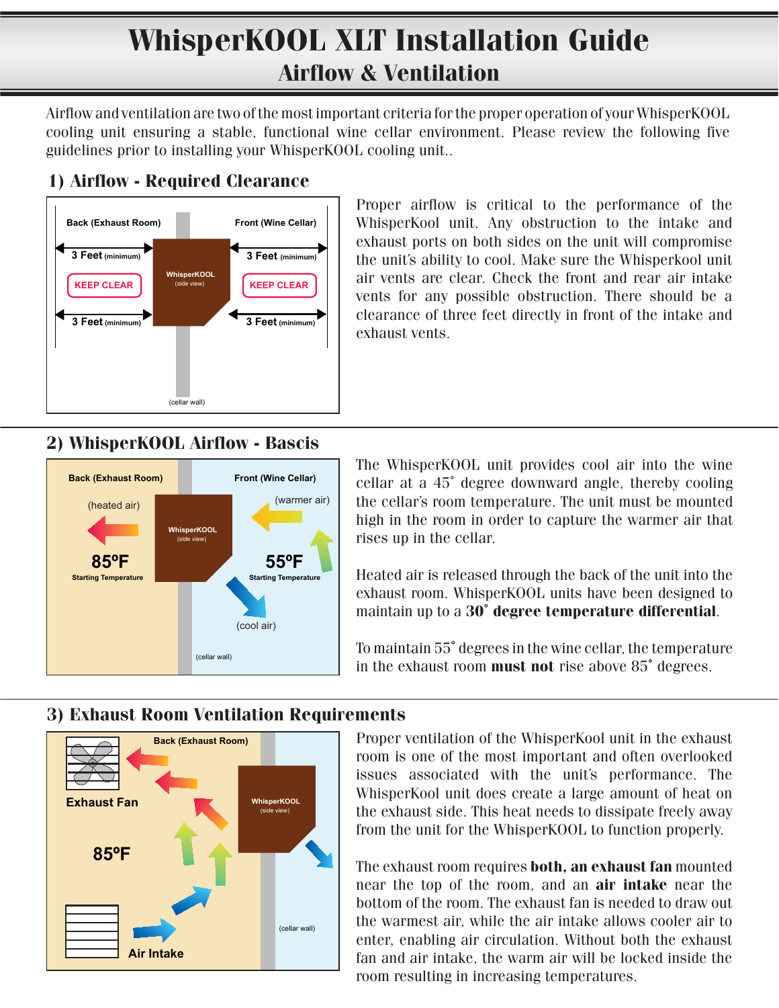# **WhisperKOOL XLT Installation Guide Airflow & Ventilation**

Airflow and ventilation are two of the most important criteria for the proper operation of your WhisperKOOL cooling unit ensuring a stable, functional wine cellar environment. Please review the following five guidelines prior to installing your WhisperKOOL cooling unit..

### **1) Airflow - Required Clearance**



Proper airflow is critical to the performance of the WhisperKool unit. Any obstruction to the intake and exhaust ports on both sides on the unit will compromise the unit's ability to cool. Make sure the Whisperkool unit air vents are clear. Check the front and rear air intake vents for any possible obstruction. There should be a clearance of three feet directly in front of the intake and exhaust vents.

### **2) WhisperKOOL Airflow - Bascis**



The WhisperKOOL unit provides cool air into the wine cellar at a 45˚ degree downward angle, thereby cooling the cellar's room temperature. The unit must be mounted high in the room in order to capture the warmer air that rises up in the cellar.

Heated air is released through the back of the unit into the exhaust room. WhisperKOOL units have been designed to maintain up to a **30˚ degree temperature differential**.

To maintain 55**˚** degrees in the wine cellar, the temperature in the exhaust room **must not** rise above 85**˚** degrees.

#### **WhisperKOOL Back (Exhaust Room)** (side view) **Exhaust Fan**

**Air Intake**

**85ºF**

**3) Exhaust Room Ventilation Requirements**

(cellar wall)

Proper ventilation of the WhisperKool unit in the exhaust room is one of the most important and often overlooked issues associated with the unit's performance. The WhisperKool unit does create a large amount of heat on the exhaust side. This heat needs to dissipate freely away from the unit for the WhisperKOOL to function properly.

The exhaust room requires **both, an exhaust fan** mounted near the top of the room, and an **air intake** near the bottom of the room. The exhaust fan is needed to draw out the warmest air, while the air intake allows cooler air to enter, enabling air circulation. Without both the exhaust fan and air intake, the warm air will be locked inside the room resulting in increasing temperatures.